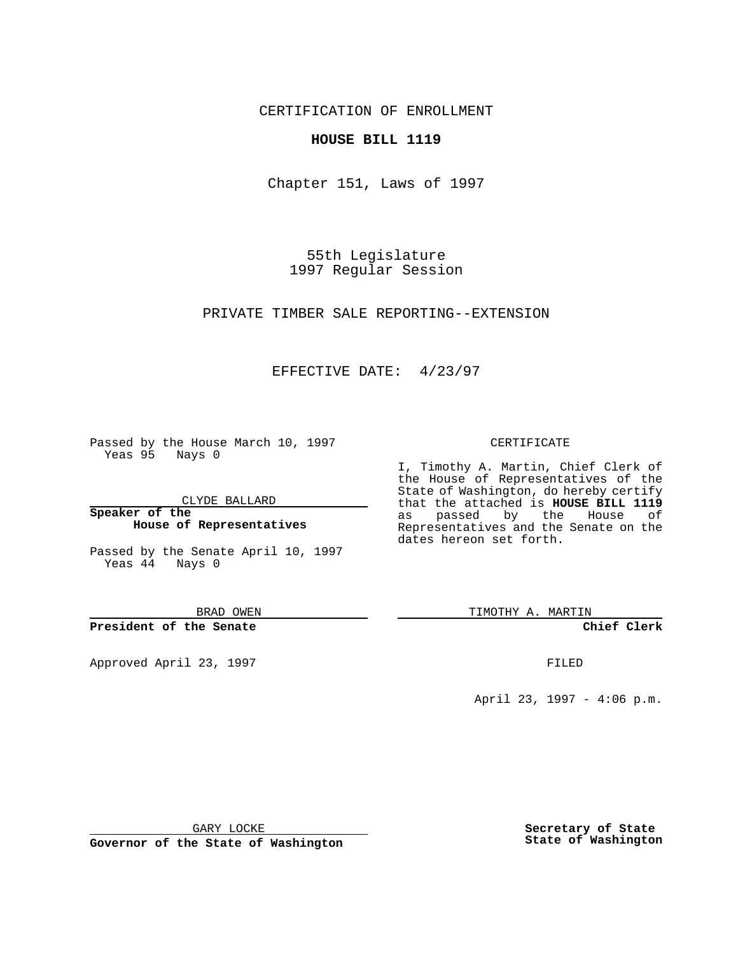CERTIFICATION OF ENROLLMENT

### **HOUSE BILL 1119**

Chapter 151, Laws of 1997

55th Legislature 1997 Regular Session

PRIVATE TIMBER SALE REPORTING--EXTENSION

## EFFECTIVE DATE: 4/23/97

Passed by the House March 10, 1997 Yeas 95 Nays 0

CLYDE BALLARD

**Speaker of the House of Representatives**

Passed by the Senate April 10, 1997 Yeas 44 Nays 0

BRAD OWEN

**President of the Senate**

Approved April 23, 1997 **FILED** 

#### CERTIFICATE

I, Timothy A. Martin, Chief Clerk of the House of Representatives of the State of Washington, do hereby certify that the attached is **HOUSE BILL 1119** as passed by the House of Representatives and the Senate on the dates hereon set forth.

TIMOTHY A. MARTIN

**Chief Clerk**

April 23, 1997 - 4:06 p.m.

GARY LOCKE

**Governor of the State of Washington**

**Secretary of State State of Washington**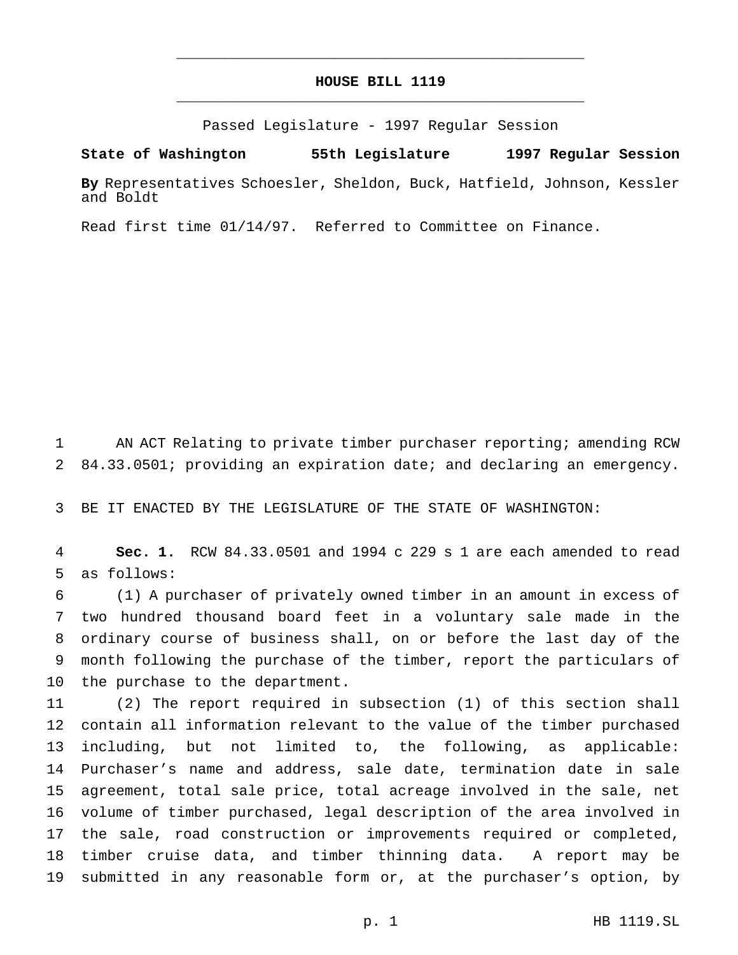# **HOUSE BILL 1119** \_\_\_\_\_\_\_\_\_\_\_\_\_\_\_\_\_\_\_\_\_\_\_\_\_\_\_\_\_\_\_\_\_\_\_\_\_\_\_\_\_\_\_\_\_\_\_

\_\_\_\_\_\_\_\_\_\_\_\_\_\_\_\_\_\_\_\_\_\_\_\_\_\_\_\_\_\_\_\_\_\_\_\_\_\_\_\_\_\_\_\_\_\_\_

Passed Legislature - 1997 Regular Session

#### **State of Washington 55th Legislature 1997 Regular Session**

**By** Representatives Schoesler, Sheldon, Buck, Hatfield, Johnson, Kessler and Boldt

Read first time 01/14/97. Referred to Committee on Finance.

 AN ACT Relating to private timber purchaser reporting; amending RCW 84.33.0501; providing an expiration date; and declaring an emergency.

BE IT ENACTED BY THE LEGISLATURE OF THE STATE OF WASHINGTON:

 **Sec. 1.** RCW 84.33.0501 and 1994 c 229 s 1 are each amended to read as follows:

 (1) A purchaser of privately owned timber in an amount in excess of two hundred thousand board feet in a voluntary sale made in the ordinary course of business shall, on or before the last day of the month following the purchase of the timber, report the particulars of the purchase to the department.

 (2) The report required in subsection (1) of this section shall contain all information relevant to the value of the timber purchased including, but not limited to, the following, as applicable: Purchaser's name and address, sale date, termination date in sale agreement, total sale price, total acreage involved in the sale, net volume of timber purchased, legal description of the area involved in 17 the sale, road construction or improvements required or completed, timber cruise data, and timber thinning data. A report may be submitted in any reasonable form or, at the purchaser's option, by